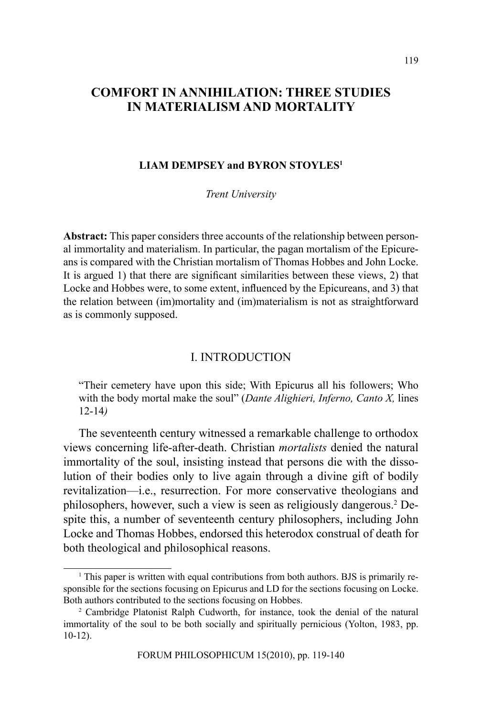# **COMFORT IN ANNIHILATION: THREE STUDIES IN MATERIALISM AND MORTALITY**

### **LIAM DEMPSEY and BYRON STOYLES1**

*Trent University*

**Abstract:** This paper considers three accounts of the relationship between personal immortality and materialism. In particular, the pagan mortalism of the Epicureans is compared with the Christian mortalism of Thomas Hobbes and John Locke. It is argued 1) that there are significant similarities between these views, 2) that Locke and Hobbes were, to some extent, influenced by the Epicureans, and 3) that the relation between (im)mortality and (im)materialism is not as straightforward as is commonly supposed.

### I. INTRODUCTION

"Their cemetery have upon this side; With Epicurus all his followers; Who with the body mortal make the soul" (*Dante Alighieri, Inferno, Canto X,* lines 12-14*)*

The seventeenth century witnessed a remarkable challenge to orthodox views concerning life-after-death. Christian *mortalists* denied the natural immortality of the soul, insisting instead that persons die with the dissolution of their bodies only to live again through a divine gift of bodily revitalization—i.e., resurrection. For more conservative theologians and philosophers, however, such a view is seen as religiously dangerous.<sup>2</sup> Despite this, a number of seventeenth century philosophers, including John Locke and Thomas Hobbes, endorsed this heterodox construal of death for both theological and philosophical reasons.

<sup>&</sup>lt;sup>1</sup> This paper is written with equal contributions from both authors. BJS is primarily responsible for the sections focusing on Epicurus and LD for the sections focusing on Locke. Both authors contributed to the sections focusing on Hobbes.

<sup>2</sup> Cambridge Platonist Ralph Cudworth, for instance, took the denial of the natural immortality of the soul to be both socially and spiritually pernicious (Yolton, 1983, pp. 10-12).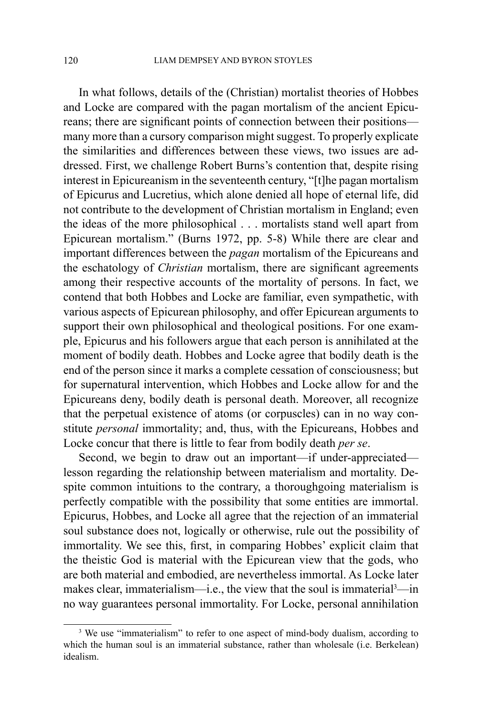In what follows, details of the (Christian) mortalist theories of Hobbes and Locke are compared with the pagan mortalism of the ancient Epicureans; there are significant points of connection between their positions many more than a cursory comparison might suggest. To properly explicate the similarities and differences between these views, two issues are addressed. First, we challenge Robert Burns's contention that, despite rising interest in Epicureanism in the seventeenth century, "[t]he pagan mortalism of Epicurus and Lucretius, which alone denied all hope of eternal life, did not contribute to the development of Christian mortalism in England; even the ideas of the more philosophical . . . mortalists stand well apart from Epicurean mortalism." (Burns 1972, pp. 5-8) While there are clear and important differences between the *pagan* mortalism of the Epicureans and the eschatology of *Christian* mortalism, there are significant agreements among their respective accounts of the mortality of persons. In fact, we contend that both Hobbes and Locke are familiar, even sympathetic, with various aspects of Epicurean philosophy, and offer Epicurean arguments to support their own philosophical and theological positions. For one example, Epicurus and his followers argue that each person is annihilated at the moment of bodily death. Hobbes and Locke agree that bodily death is the end of the person since it marks a complete cessation of consciousness; but for supernatural intervention, which Hobbes and Locke allow for and the Epicureans deny, bodily death is personal death. Moreover, all recognize that the perpetual existence of atoms (or corpuscles) can in no way constitute *personal* immortality; and, thus, with the Epicureans, Hobbes and Locke concur that there is little to fear from bodily death *per se*.

Second, we begin to draw out an important—if under-appreciated lesson regarding the relationship between materialism and mortality. Despite common intuitions to the contrary, a thoroughgoing materialism is perfectly compatible with the possibility that some entities are immortal. Epicurus, Hobbes, and Locke all agree that the rejection of an immaterial soul substance does not, logically or otherwise, rule out the possibility of immortality. We see this, first, in comparing Hobbes' explicit claim that the theistic God is material with the Epicurean view that the gods, who are both material and embodied, are nevertheless immortal. As Locke later makes clear, immaterialism—i.e., the view that the soul is immaterial<sup>3</sup>—in no way guarantees personal immortality. For Locke, personal annihilation

<sup>&</sup>lt;sup>3</sup> We use "immaterialism" to refer to one aspect of mind-body dualism, according to which the human soul is an immaterial substance, rather than wholesale (i.e. Berkelean) idealism.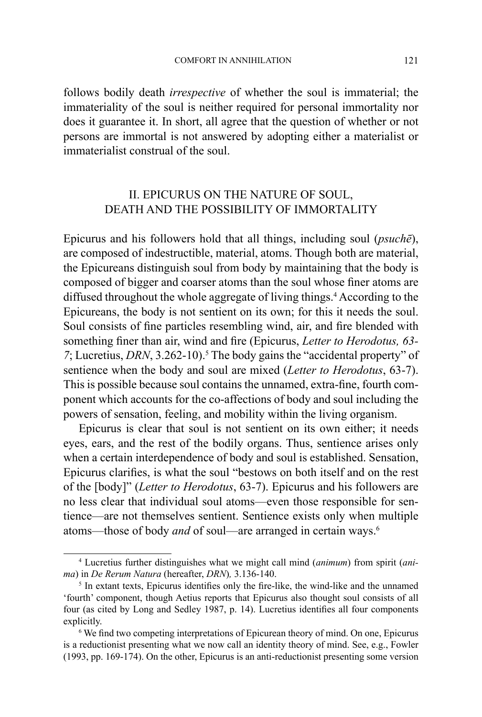follows bodily death *irrespective* of whether the soul is immaterial; the immateriality of the soul is neither required for personal immortality nor does it guarantee it. In short, all agree that the question of whether or not persons are immortal is not answered by adopting either a materialist or immaterialist construal of the soul.

# II. EPICURUS ON THE NATURE OF SOUL, DEATH AND THE POSSIBILITY OF IMMORTALITY

Epicurus and his followers hold that all things, including soul (*psuchē*), are composed of indestructible, material, atoms. Though both are material, the Epicureans distinguish soul from body by maintaining that the body is composed of bigger and coarser atoms than the soul whose finer atoms are diffused throughout the whole aggregate of living things.<sup>4</sup> According to the Epicureans, the body is not sentient on its own; for this it needs the soul. Soul consists of fine particles resembling wind, air, and fire blended with something finer than air, wind and fire (Epicurus, *Letter to Herodotus, 63-* 7; Lucretius, *DRN*, 3.262-10).<sup>5</sup> The body gains the "accidental property" of sentience when the body and soul are mixed (*Letter to Herodotus*, 63-7). This is possible because soul contains the unnamed, extra-fine, fourth component which accounts for the co-affections of body and soul including the powers of sensation, feeling, and mobility within the living organism.

Epicurus is clear that soul is not sentient on its own either; it needs eyes, ears, and the rest of the bodily organs. Thus, sentience arises only when a certain interdependence of body and soul is established. Sensation, Epicurus clarifies, is what the soul "bestows on both itself and on the rest of the [body]" (*Letter to Herodotus*, 63-7). Epicurus and his followers are no less clear that individual soul atoms—even those responsible for sentience—are not themselves sentient. Sentience exists only when multiple atoms—those of body *and* of soul—are arranged in certain ways.6

<sup>4</sup> Lucretius further distinguishes what we might call mind (*animum*) from spirit (*anima*) in *De Rerum Natura* (hereafter, *DRN*)*,* 3.136-140.

<sup>&</sup>lt;sup>5</sup> In extant texts, Epicurus identifies only the fire-like, the wind-like and the unnamed 'fourth' component, though Aetius reports that Epicurus also thought soul consists of all four (as cited by Long and Sedley 1987, p. 14). Lucretius identifies all four components explicitly.

<sup>&</sup>lt;sup>6</sup> We find two competing interpretations of Epicurean theory of mind. On one, Epicurus is a reductionist presenting what we now call an identity theory of mind. See, e.g., Fowler (1993, pp. 169-174). On the other, Epicurus is an anti-reductionist presenting some version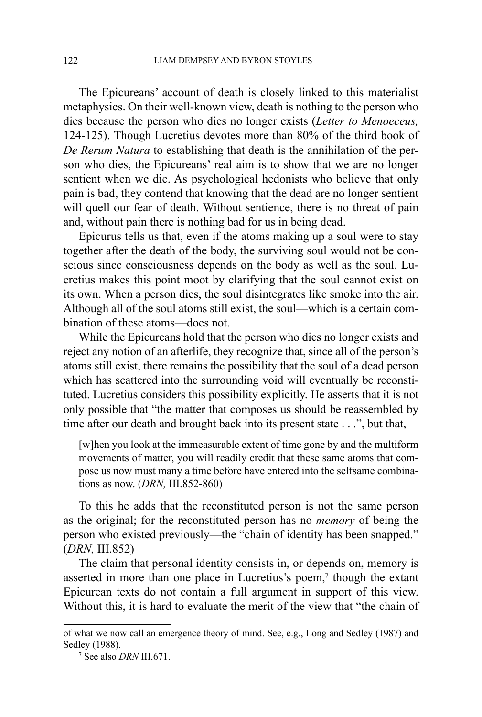The Epicureans' account of death is closely linked to this materialist metaphysics. On their well-known view, death is nothing to the person who dies because the person who dies no longer exists (*Letter to Menoeceus,* 124-125). Though Lucretius devotes more than 80% of the third book of *De Rerum Natura* to establishing that death is the annihilation of the person who dies, the Epicureans' real aim is to show that we are no longer sentient when we die. As psychological hedonists who believe that only pain is bad, they contend that knowing that the dead are no longer sentient will quell our fear of death. Without sentience, there is no threat of pain and, without pain there is nothing bad for us in being dead.

Epicurus tells us that, even if the atoms making up a soul were to stay together after the death of the body, the surviving soul would not be conscious since consciousness depends on the body as well as the soul. Lucretius makes this point moot by clarifying that the soul cannot exist on its own. When a person dies, the soul disintegrates like smoke into the air. Although all of the soul atoms still exist, the soul—which is a certain combination of these atoms—does not.

While the Epicureans hold that the person who dies no longer exists and reject any notion of an afterlife, they recognize that, since all of the person's atoms still exist, there remains the possibility that the soul of a dead person which has scattered into the surrounding void will eventually be reconstituted. Lucretius considers this possibility explicitly. He asserts that it is not only possible that "the matter that composes us should be reassembled by time after our death and brought back into its present state . . .", but that,

[w]hen you look at the immeasurable extent of time gone by and the multiform movements of matter, you will readily credit that these same atoms that compose us now must many a time before have entered into the selfsame combinations as now. (*DRN,* III.852-860)

To this he adds that the reconstituted person is not the same person as the original; for the reconstituted person has no *memory* of being the person who existed previously—the "chain of identity has been snapped." (*DRN,* III.852)

The claim that personal identity consists in, or depends on, memory is asserted in more than one place in Lucretius's poem, $\lambda$  though the extant Epicurean texts do not contain a full argument in support of this view. Without this, it is hard to evaluate the merit of the view that "the chain of

of what we now call an emergence theory of mind. See, e.g., Long and Sedley (1987) and Sedley (1988).

<sup>&</sup>lt;sup>7</sup> See also *DRN* III.671.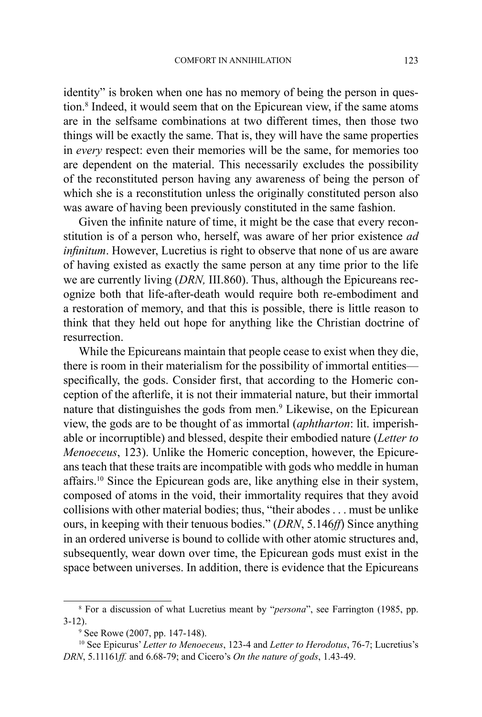identity" is broken when one has no memory of being the person in question.8 Indeed, it would seem that on the Epicurean view, if the same atoms are in the selfsame combinations at two different times, then those two things will be exactly the same. That is, they will have the same properties in *every* respect: even their memories will be the same, for memories too are dependent on the material. This necessarily excludes the possibility of the reconstituted person having any awareness of being the person of which she is a reconstitution unless the originally constituted person also was aware of having been previously constituted in the same fashion.

Given the infinite nature of time, it might be the case that every reconstitution is of a person who, herself, was aware of her prior existence *ad infinitum*. However, Lucretius is right to observe that none of us are aware of having existed as exactly the same person at any time prior to the life we are currently living (*DRN,* III.860). Thus, although the Epicureans recognize both that life-after-death would require both re-embodiment and a restoration of memory, and that this is possible, there is little reason to think that they held out hope for anything like the Christian doctrine of resurrection.

While the Epicureans maintain that people cease to exist when they die, there is room in their materialism for the possibility of immortal entities specifically, the gods. Consider first, that according to the Homeric conception of the afterlife, it is not their immaterial nature, but their immortal nature that distinguishes the gods from men.<sup>9</sup> Likewise, on the Epicurean view, the gods are to be thought of as immortal (*aphtharton*: lit. imperishable or incorruptible) and blessed, despite their embodied nature (*Letter to Menoeceus*, 123). Unlike the Homeric conception, however, the Epicureans teach that these traits are incompatible with gods who meddle in human affairs.10 Since the Epicurean gods are, like anything else in their system, composed of atoms in the void, their immortality requires that they avoid collisions with other material bodies; thus, "their abodes . . . must be unlike ours, in keeping with their tenuous bodies." (*DRN*, 5.146*ff*) Since anything in an ordered universe is bound to collide with other atomic structures and, subsequently, wear down over time, the Epicurean gods must exist in the space between universes. In addition, there is evidence that the Epicureans

<sup>8</sup> For a discussion of what Lucretius meant by "*persona*", see Farrington (1985, pp. 3-12).

<sup>9</sup> See Rowe (2007, pp. 147-148).

<sup>10</sup> See Epicurus' *Letter to Menoeceus*, 123-4 and *Letter to Herodotus*, 76-7; Lucretius's *DRN*, 5.11161*ff.* and 6.68-79; and Cicero's *On the nature of gods*, 1.43-49.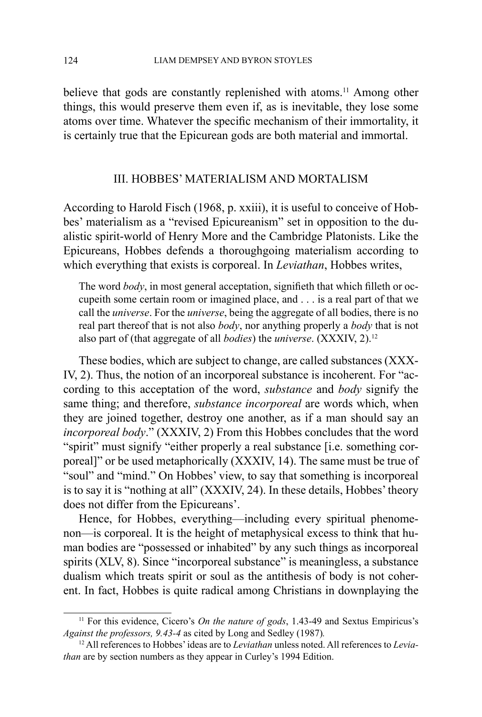believe that gods are constantly replenished with atoms.<sup>11</sup> Among other things, this would preserve them even if, as is inevitable, they lose some atoms over time. Whatever the specific mechanism of their immortality, it is certainly true that the Epicurean gods are both material and immortal.

## III. HOBBES' MATERIALISM AND MORTALISM

According to Harold Fisch (1968, p. xxiii), it is useful to conceive of Hobbes' materialism as a "revised Epicureanism" set in opposition to the dualistic spirit-world of Henry More and the Cambridge Platonists. Like the Epicureans, Hobbes defends a thoroughgoing materialism according to which everything that exists is corporeal. In *Leviathan*, Hobbes writes,

The word *body*, in most general acceptation, signifieth that which filleth or occupeith some certain room or imagined place, and . . . is a real part of that we call the *universe*. For the *universe*, being the aggregate of all bodies, there is no real part thereof that is not also *body*, nor anything properly a *body* that is not also part of (that aggregate of all *bodies*) the *universe*. (XXXIV, 2).12

These bodies, which are subject to change, are called substances (XXX-IV, 2). Thus, the notion of an incorporeal substance is incoherent. For "according to this acceptation of the word, *substance* and *body* signify the same thing; and therefore, *substance incorporeal* are words which, when they are joined together, destroy one another, as if a man should say an *incorporeal body*." (XXXIV, 2) From this Hobbes concludes that the word "spirit" must signify "either properly a real substance [i.e. something corporeal]" or be used metaphorically (XXXIV, 14). The same must be true of "soul" and "mind." On Hobbes' view, to say that something is incorporeal is to say it is "nothing at all" (XXXIV, 24). In these details, Hobbes' theory does not differ from the Epicureans'.

Hence, for Hobbes, everything—including every spiritual phenomenon—is corporeal. It is the height of metaphysical excess to think that human bodies are "possessed or inhabited" by any such things as incorporeal spirits (XLV, 8). Since "incorporeal substance" is meaningless, a substance dualism which treats spirit or soul as the antithesis of body is not coherent. In fact, Hobbes is quite radical among Christians in downplaying the

<sup>&</sup>lt;sup>11</sup> For this evidence, Cicero's *On the nature of gods*, 1.43-49 and Sextus Empiricus's *Against the professors, 9.43-4* as cited by Long and Sedley (1987)*.* 

<sup>12</sup> All references to Hobbes' ideas are to *Leviathan* unless noted. All references to *Leviathan* are by section numbers as they appear in Curley's 1994 Edition.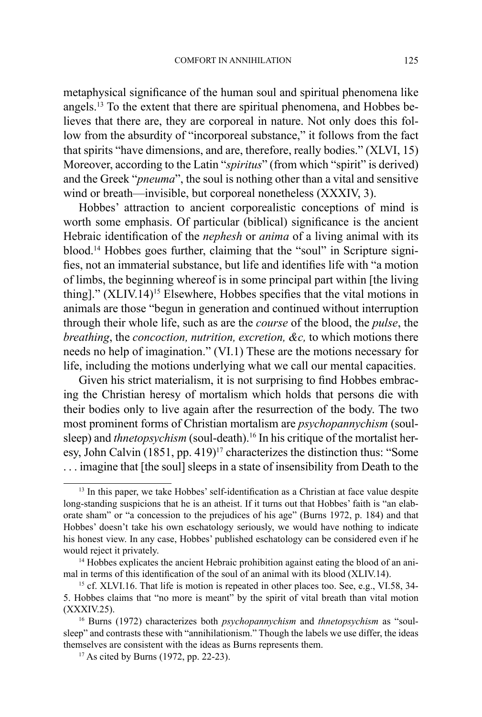metaphysical significance of the human soul and spiritual phenomena like angels.13 To the extent that there are spiritual phenomena, and Hobbes believes that there are, they are corporeal in nature. Not only does this follow from the absurdity of "incorporeal substance," it follows from the fact that spirits "have dimensions, and are, therefore, really bodies." (XLVI, 15) Moreover, according to the Latin "*spiritus*" (from which "spirit" is derived) and the Greek "*pneuma*", the soul is nothing other than a vital and sensitive wind or breath—invisible, but corporeal nonetheless (XXXIV, 3).

Hobbes' attraction to ancient corporealistic conceptions of mind is worth some emphasis. Of particular (biblical) significance is the ancient Hebraic identification of the *nephesh* or *anima* of a living animal with its blood.14 Hobbes goes further, claiming that the "soul" in Scripture signifies, not an immaterial substance, but life and identifies life with "a motion of limbs, the beginning whereof is in some principal part within [the living thing]." (XLIV.14)<sup>15</sup> Elsewhere, Hobbes specifies that the vital motions in animals are those "begun in generation and continued without interruption through their whole life, such as are the *course* of the blood, the *pulse*, the *breathing*, the *concoction, nutrition, excretion, &c,* to which motions there needs no help of imagination." (VI.1) These are the motions necessary for life, including the motions underlying what we call our mental capacities.

Given his strict materialism, it is not surprising to find Hobbes embracing the Christian heresy of mortalism which holds that persons die with their bodies only to live again after the resurrection of the body. The two most prominent forms of Christian mortalism are *psychopannychism* (soulsleep) and *thnetopsychism* (soul-death).<sup>16</sup> In his critique of the mortalist heresy, John Calvin  $(1851, pp. 419)^{17}$  characterizes the distinction thus: "Some . . . imagine that [the soul] sleeps in a state of insensibility from Death to the

<sup>&</sup>lt;sup>13</sup> In this paper, we take Hobbes' self-identification as a Christian at face value despite long-standing suspicions that he is an atheist. If it turns out that Hobbes' faith is "an elaborate sham" or "a concession to the prejudices of his age" (Burns 1972, p. 184) and that Hobbes' doesn't take his own eschatology seriously, we would have nothing to indicate his honest view. In any case, Hobbes' published eschatology can be considered even if he would reject it privately.<br><sup>14</sup> Hobbes explicates the ancient Hebraic prohibition against eating the blood of an ani-

mal in terms of this identification of the soul of an animal with its blood (XLIV.14).

<sup>&</sup>lt;sup>15</sup> cf. XLVI.16. That life is motion is repeated in other places too. See, e.g., VI.58, 34-5. Hobbes claims that "no more is meant" by the spirit of vital breath than vital motion (XXXIV.25).

<sup>16</sup> Burns (1972) characterizes both *psychopannychism* and *thnetopsychism* as "soulsleep" and contrasts these with "annihilationism." Though the labels we use differ, the ideas themselves are consistent with the ideas as Burns represents them.

<sup>17</sup> As cited by Burns (1972, pp. 22-23).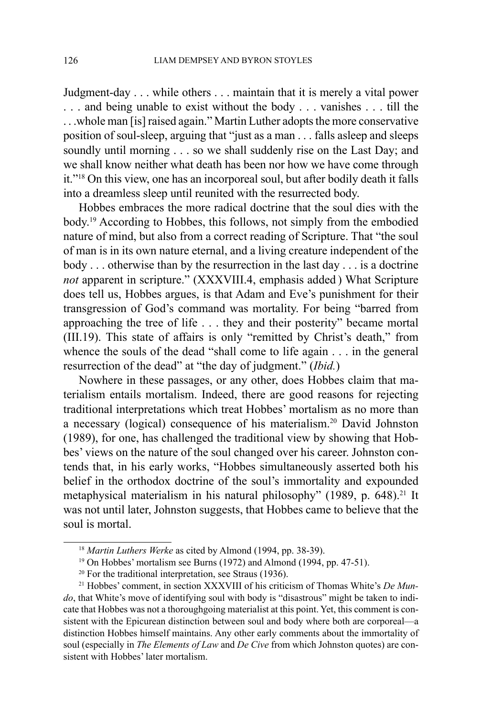Judgment-day . . . while others . . . maintain that it is merely a vital power . . . and being unable to exist without the body . . . vanishes . . . till the . . .whole man [is] raised again." Martin Luther adopts the more conservative position of soul-sleep, arguing that "just as a man . . . falls asleep and sleeps soundly until morning . . . so we shall suddenly rise on the Last Day; and we shall know neither what death has been nor how we have come through it."18 On this view, one has an incorporeal soul, but after bodily death it falls into a dreamless sleep until reunited with the resurrected body.

Hobbes embraces the more radical doctrine that the soul dies with the body.19 According to Hobbes, this follows, not simply from the embodied nature of mind, but also from a correct reading of Scripture. That "the soul of man is in its own nature eternal, and a living creature independent of the body . . . otherwise than by the resurrection in the last day . . . is a doctrine *not* apparent in scripture." (XXXVIII.4, emphasis added ) What Scripture does tell us, Hobbes argues, is that Adam and Eve's punishment for their transgression of God's command was mortality. For being "barred from approaching the tree of life . . . they and their posterity" became mortal (III.19). This state of affairs is only "remitted by Christ's death," from whence the souls of the dead "shall come to life again . . . in the general resurrection of the dead" at "the day of judgment." (*Ibid.*)

Nowhere in these passages, or any other, does Hobbes claim that materialism entails mortalism. Indeed, there are good reasons for rejecting traditional interpretations which treat Hobbes' mortalism as no more than a necessary (logical) consequence of his materialism.20 David Johnston (1989), for one, has challenged the traditional view by showing that Hobbes' views on the nature of the soul changed over his career. Johnston contends that, in his early works, "Hobbes simultaneously asserted both his belief in the orthodox doctrine of the soul's immortality and expounded metaphysical materialism in his natural philosophy" (1989, p. 648).<sup>21</sup> It was not until later, Johnston suggests, that Hobbes came to believe that the soul is mortal.

<sup>18</sup> *Martin Luthers Werke* as cited by Almond (1994, pp. 38-39).

<sup>&</sup>lt;sup>19</sup> On Hobbes' mortalism see Burns (1972) and Almond (1994, pp. 47-51).<br><sup>20</sup> For the traditional interpretation, see Straus (1936).<br><sup>21</sup> Hobbes' comment, in section XXXVIII of his criticism of Thomas White's *De Mundo*, that White's move of identifying soul with body is "disastrous" might be taken to indicate that Hobbes was not a thoroughgoing materialist at this point. Yet, this comment is consistent with the Epicurean distinction between soul and body where both are corporeal—a distinction Hobbes himself maintains. Any other early comments about the immortality of soul (especially in *The Elements of Law* and *De Cive* from which Johnston quotes) are consistent with Hobbes' later mortalism.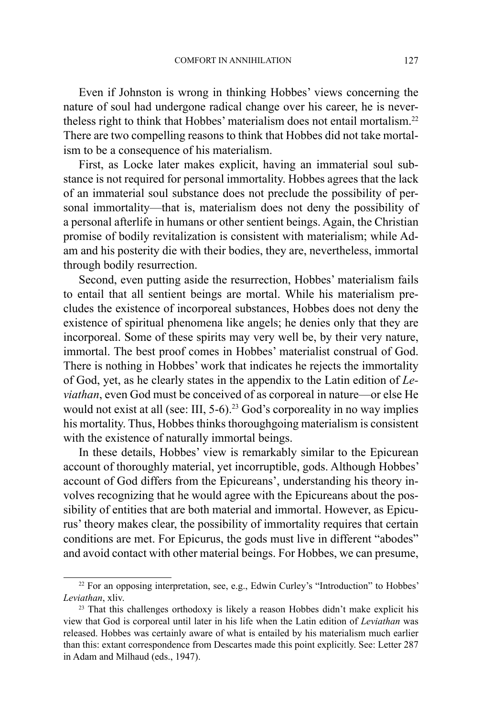Even if Johnston is wrong in thinking Hobbes' views concerning the nature of soul had undergone radical change over his career, he is nevertheless right to think that Hobbes' materialism does not entail mortalism.22 There are two compelling reasons to think that Hobbes did not take mortalism to be a consequence of his materialism.

First, as Locke later makes explicit, having an immaterial soul substance is not required for personal immortality. Hobbes agrees that the lack of an immaterial soul substance does not preclude the possibility of personal immortality—that is, materialism does not deny the possibility of a personal afterlife in humans or other sentient beings. Again, the Christian promise of bodily revitalization is consistent with materialism; while Adam and his posterity die with their bodies, they are, nevertheless, immortal through bodily resurrection.

Second, even putting aside the resurrection, Hobbes' materialism fails to entail that all sentient beings are mortal. While his materialism precludes the existence of incorporeal substances, Hobbes does not deny the existence of spiritual phenomena like angels; he denies only that they are incorporeal. Some of these spirits may very well be, by their very nature, immortal. The best proof comes in Hobbes' materialist construal of God. There is nothing in Hobbes' work that indicates he rejects the immortality of God, yet, as he clearly states in the appendix to the Latin edition of *Leviathan*, even God must be conceived of as corporeal in nature—or else He would not exist at all (see: III, 5-6).<sup>23</sup> God's corporeality in no way implies his mortality. Thus, Hobbes thinks thoroughgoing materialism is consistent with the existence of naturally immortal beings.

In these details, Hobbes' view is remarkably similar to the Epicurean account of thoroughly material, yet incorruptible, gods. Although Hobbes' account of God differs from the Epicureans', understanding his theory involves recognizing that he would agree with the Epicureans about the possibility of entities that are both material and immortal. However, as Epicurus' theory makes clear, the possibility of immortality requires that certain conditions are met. For Epicurus, the gods must live in different "abodes" and avoid contact with other material beings. For Hobbes, we can presume,

<sup>&</sup>lt;sup>22</sup> For an opposing interpretation, see, e.g., Edwin Curley's "Introduction" to Hobbes' *Leviathan*, xliv.

<sup>&</sup>lt;sup>23</sup> That this challenges orthodoxy is likely a reason Hobbes didn't make explicit his view that God is corporeal until later in his life when the Latin edition of *Leviathan* was released. Hobbes was certainly aware of what is entailed by his materialism much earlier than this: extant correspondence from Descartes made this point explicitly. See: Letter 287 in Adam and Milhaud (eds., 1947).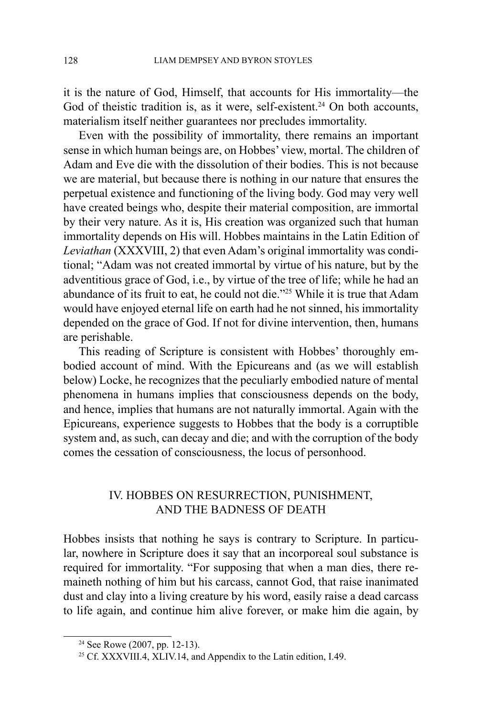it is the nature of God, Himself, that accounts for His immortality—the God of theistic tradition is, as it were, self-existent.<sup>24</sup> On both accounts, materialism itself neither guarantees nor precludes immortality.

Even with the possibility of immortality, there remains an important sense in which human beings are, on Hobbes' view, mortal. The children of Adam and Eve die with the dissolution of their bodies. This is not because we are material, but because there is nothing in our nature that ensures the perpetual existence and functioning of the living body. God may very well have created beings who, despite their material composition, are immortal by their very nature. As it is, His creation was organized such that human immortality depends on His will. Hobbes maintains in the Latin Edition of *Leviathan* (XXXVIII, 2) that even Adam's original immortality was conditional; "Adam was not created immortal by virtue of his nature, but by the adventitious grace of God, i.e., by virtue of the tree of life; while he had an abundance of its fruit to eat, he could not die."25 While it is true that Adam would have enjoyed eternal life on earth had he not sinned, his immortality depended on the grace of God. If not for divine intervention, then, humans are perishable.

This reading of Scripture is consistent with Hobbes' thoroughly embodied account of mind. With the Epicureans and (as we will establish below) Locke, he recognizes that the peculiarly embodied nature of mental phenomena in humans implies that consciousness depends on the body, and hence, implies that humans are not naturally immortal. Again with the Epicureans, experience suggests to Hobbes that the body is a corruptible system and, as such, can decay and die; and with the corruption of the body comes the cessation of consciousness, the locus of personhood.

## IV. HOBBES ON RESURRECTION, PUNISHMENT, AND THE BADNESS OF DEATH

Hobbes insists that nothing he says is contrary to Scripture. In particular, nowhere in Scripture does it say that an incorporeal soul substance is required for immortality. "For supposing that when a man dies, there remaineth nothing of him but his carcass, cannot God, that raise inanimated dust and clay into a living creature by his word, easily raise a dead carcass to life again, and continue him alive forever, or make him die again, by

<sup>24</sup> See Rowe (2007, pp. 12-13).

<sup>25</sup> Cf. XXXVIII.4, XLIV.14, and Appendix to the Latin edition, I.49.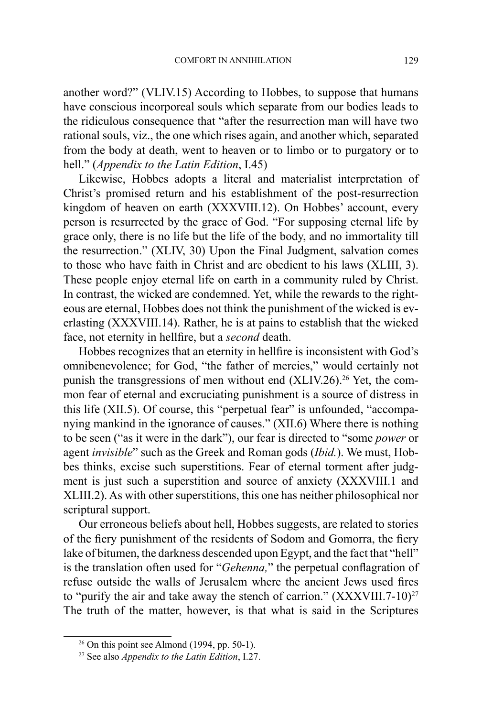another word?" (VLIV.15) According to Hobbes, to suppose that humans have conscious incorporeal souls which separate from our bodies leads to the ridiculous consequence that "after the resurrection man will have two rational souls, viz., the one which rises again, and another which, separated from the body at death, went to heaven or to limbo or to purgatory or to hell." (*Appendix to the Latin Edition*, I.45)

Likewise, Hobbes adopts a literal and materialist interpretation of Christ's promised return and his establishment of the post-resurrection kingdom of heaven on earth (XXXVIII.12). On Hobbes' account, every person is resurrected by the grace of God. "For supposing eternal life by grace only, there is no life but the life of the body, and no immortality till the resurrection." (XLIV, 30) Upon the Final Judgment, salvation comes to those who have faith in Christ and are obedient to his laws (XLIII, 3). These people enjoy eternal life on earth in a community ruled by Christ. In contrast, the wicked are condemned. Yet, while the rewards to the righteous are eternal, Hobbes does not think the punishment of the wicked is everlasting (XXXVIII.14). Rather, he is at pains to establish that the wicked face, not eternity in hellfire, but a *second* death.

Hobbes recognizes that an eternity in hellfire is inconsistent with God's omnibenevolence; for God, "the father of mercies," would certainly not punish the transgressions of men without end  $(XLIV.26)$ <sup>26</sup> Yet, the common fear of eternal and excruciating punishment is a source of distress in this life (XII.5). Of course, this "perpetual fear" is unfounded, "accompanying mankind in the ignorance of causes." (XII.6) Where there is nothing to be seen ("as it were in the dark"), our fear is directed to "some *power* or agent *invisible*" such as the Greek and Roman gods (*Ibid.*). We must, Hobbes thinks, excise such superstitions. Fear of eternal torment after judgment is just such a superstition and source of anxiety (XXXVIII.1 and XLIII.2). As with other superstitions, this one has neither philosophical nor scriptural support.

Our erroneous beliefs about hell, Hobbes suggests, are related to stories of the fiery punishment of the residents of Sodom and Gomorra, the fiery lake of bitumen, the darkness descended upon Egypt, and the fact that "hell" is the translation often used for "*Gehenna,*" the perpetual conflagration of refuse outside the walls of Jerusalem where the ancient Jews used fires to "purify the air and take away the stench of carrion."  $(XXXVIII.7-10)^{27}$ The truth of the matter, however, is that what is said in the Scriptures

<sup>26</sup> On this point see Almond (1994, pp. 50-1). 27 See also *Appendix to the Latin Edition*, I.27.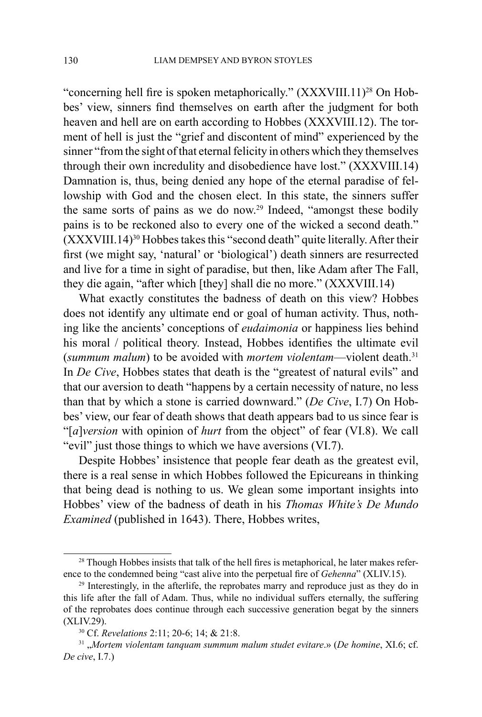"concerning hell fire is spoken metaphorically."  $(XXXVIII.11)^{28}$  On Hobbes' view, sinners find themselves on earth after the judgment for both heaven and hell are on earth according to Hobbes (XXXVIII.12). The torment of hell is just the "grief and discontent of mind" experienced by the sinner "from the sight of that eternal felicity in others which they themselves through their own incredulity and disobedience have lost." (XXXVIII.14) Damnation is, thus, being denied any hope of the eternal paradise of fellowship with God and the chosen elect. In this state, the sinners suffer the same sorts of pains as we do now.<sup>29</sup> Indeed, "amongst these bodily pains is to be reckoned also to every one of the wicked a second death." (XXXVIII.14)30 Hobbes takes this "second death" quite literally. After their first (we might say, 'natural' or 'biological') death sinners are resurrected and live for a time in sight of paradise, but then, like Adam after The Fall, they die again, "after which [they] shall die no more." (XXXVIII.14)

What exactly constitutes the badness of death on this view? Hobbes does not identify any ultimate end or goal of human activity. Thus, nothing like the ancients' conceptions of *eudaimonia* or happiness lies behind his moral / political theory. Instead, Hobbes identifies the ultimate evil (*summum malum*) to be avoided with *mortem violentam*—violent death.31 In *De Cive*, Hobbes states that death is the "greatest of natural evils" and that our aversion to death "happens by a certain necessity of nature, no less than that by which a stone is carried downward." (*De Cive*, I.7) On Hobbes' view, our fear of death shows that death appears bad to us since fear is "[*a*]*version* with opinion of *hurt* from the object" of fear (VI.8). We call "evil" just those things to which we have aversions (VI.7).

Despite Hobbes' insistence that people fear death as the greatest evil, there is a real sense in which Hobbes followed the Epicureans in thinking that being dead is nothing to us. We glean some important insights into Hobbes' view of the badness of death in his *Thomas White's De Mundo Examined* (published in 1643). There, Hobbes writes,

<sup>&</sup>lt;sup>28</sup> Though Hobbes insists that talk of the hell fires is metaphorical, he later makes reference to the condemned being "cast alive into the perpetual fire of *Gehenna*" (XLIV.15).

<sup>&</sup>lt;sup>29</sup> Interestingly, in the afterlife, the reprobates marry and reproduce just as they do in this life after the fall of Adam. Thus, while no individual suffers eternally, the suffering of the reprobates does continue through each successive generation begat by the sinners (XLIV.29).

<sup>30</sup> Cf. *Revelations* 2:11; 20-6; 14; & 21:8.

<sup>31</sup> "*Mortem violentam tanquam summum malum studet evitare*.» (*De homine*, XI.6; cf. *De cive*, I.7.)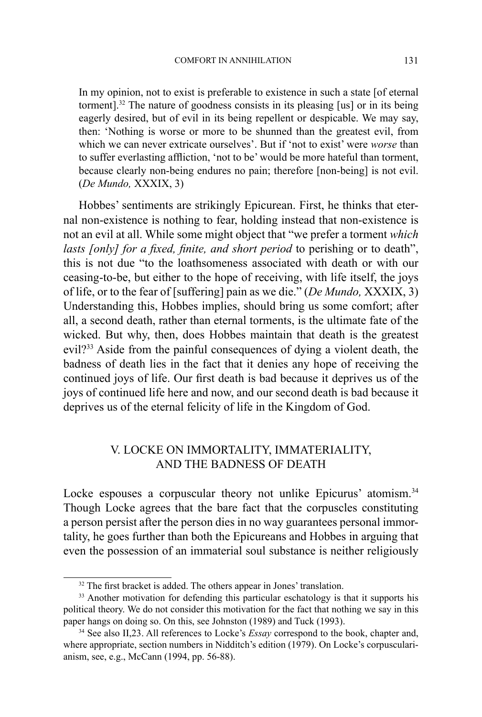In my opinion, not to exist is preferable to existence in such a state [of eternal torment].32 The nature of goodness consists in its pleasing [us] or in its being eagerly desired, but of evil in its being repellent or despicable. We may say, then: 'Nothing is worse or more to be shunned than the greatest evil, from which we can never extricate ourselves'. But if 'not to exist' were *worse* than to suffer everlasting affliction, 'not to be' would be more hateful than torment, because clearly non-being endures no pain; therefore [non-being] is not evil. (*De Mundo,* XXXIX, 3)

Hobbes' sentiments are strikingly Epicurean. First, he thinks that eternal non-existence is nothing to fear, holding instead that non-existence is not an evil at all. While some might object that "we prefer a torment *which lasts [only] for a fixed, finite, and short period* to perishing or to death", this is not due "to the loathsomeness associated with death or with our ceasing-to-be, but either to the hope of receiving, with life itself, the joys of life, or to the fear of [suffering] pain as we die." (*De Mundo,* XXXIX, 3) Understanding this, Hobbes implies, should bring us some comfort; after all, a second death, rather than eternal torments, is the ultimate fate of the wicked. But why, then, does Hobbes maintain that death is the greatest evil?33 Aside from the painful consequences of dying a violent death, the badness of death lies in the fact that it denies any hope of receiving the continued joys of life. Our first death is bad because it deprives us of the joys of continued life here and now, and our second death is bad because it deprives us of the eternal felicity of life in the Kingdom of God.

# V. LOCKE ON IMMORTALITY, IMMATERIALITY, AND THE BADNESS OF DEATH

Locke espouses a corpuscular theory not unlike Epicurus' atomism.<sup>34</sup> Though Locke agrees that the bare fact that the corpuscles constituting a person persist after the person dies in no way guarantees personal immortality, he goes further than both the Epicureans and Hobbes in arguing that even the possession of an immaterial soul substance is neither religiously

<sup>&</sup>lt;sup>32</sup> The first bracket is added. The others appear in Jones' translation.

<sup>&</sup>lt;sup>33</sup> Another motivation for defending this particular eschatology is that it supports his political theory. We do not consider this motivation for the fact that nothing we say in this paper hangs on doing so. On this, see Johnston (1989) and Tuck (1993).

<sup>&</sup>lt;sup>34</sup> See also II,23. All references to Locke's *Essay* correspond to the book, chapter and, where appropriate, section numbers in Nidditch's edition (1979). On Locke's corpuscularianism, see, e.g., McCann (1994, pp. 56-88).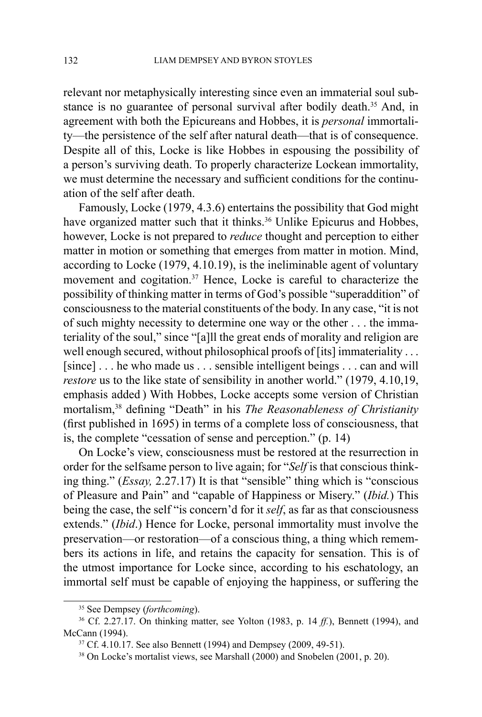relevant nor metaphysically interesting since even an immaterial soul substance is no guarantee of personal survival after bodily death.<sup>35</sup> And, in agreement with both the Epicureans and Hobbes, it is *personal* immortality—the persistence of the self after natural death—that is of consequence. Despite all of this, Locke is like Hobbes in espousing the possibility of a person's surviving death. To properly characterize Lockean immortality, we must determine the necessary and sufficient conditions for the continuation of the self after death.

Famously, Locke (1979, 4.3.6) entertains the possibility that God might have organized matter such that it thinks.<sup>36</sup> Unlike Epicurus and Hobbes, however, Locke is not prepared to *reduce* thought and perception to either matter in motion or something that emerges from matter in motion. Mind, according to Locke (1979, 4.10.19), is the ineliminable agent of voluntary movement and cogitation.<sup>37</sup> Hence, Locke is careful to characterize the possibility of thinking matter in terms of God's possible "superaddition" of consciousness to the material constituents of the body. In any case, "it is not of such mighty necessity to determine one way or the other . . . the immateriality of the soul," since "[a]ll the great ends of morality and religion are well enough secured, without philosophical proofs of [its] immateriality . . . [since] . . . he who made us . . . sensible intelligent beings . . . can and will *restore* us to the like state of sensibility in another world." (1979, 4.10,19, emphasis added ) With Hobbes, Locke accepts some version of Christian mortalism,38 defining "Death" in his *The Reasonableness of Christianity* (first published in 1695) in terms of a complete loss of consciousness, that is, the complete "cessation of sense and perception." (p. 14)

On Locke's view, consciousness must be restored at the resurrection in order for the selfsame person to live again; for "*Self* is that conscious thinking thing." (*Essay,* 2.27.17) It is that "sensible" thing which is "conscious of Pleasure and Pain" and "capable of Happiness or Misery." (*Ibid.*) This being the case, the self "is concern'd for it *self*, as far as that consciousness extends." (*Ibid*.) Hence for Locke, personal immortality must involve the preservation—or restoration—of a conscious thing, a thing which remembers its actions in life, and retains the capacity for sensation. This is of the utmost importance for Locke since, according to his eschatology, an immortal self must be capable of enjoying the happiness, or suffering the

<sup>35</sup> See Dempsey (*forthcoming*).

<sup>36</sup> Cf. 2.27.17. On thinking matter, see Yolton (1983, p. 14 *ff.*), Bennett (1994), and McCann (1994).

<sup>&</sup>lt;sup>37</sup> Cf. 4.10.17. See also Bennett (1994) and Dempsey (2009, 49-51).<br><sup>38</sup> On Locke's mortalist views, see Marshall (2000) and Snobelen (2001, p. 20).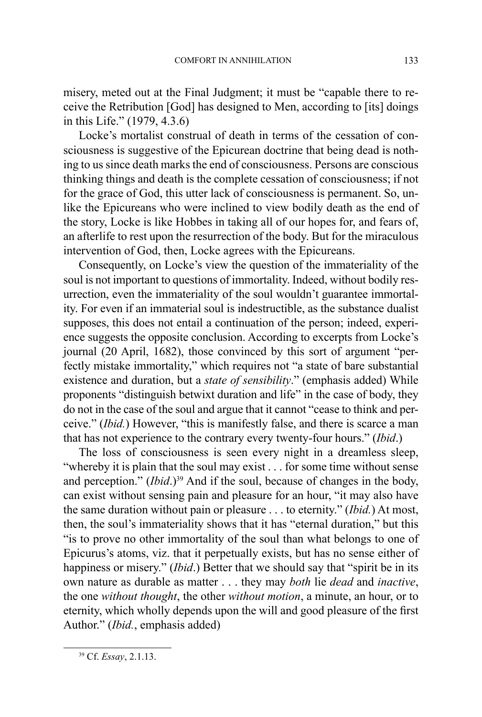misery, meted out at the Final Judgment; it must be "capable there to receive the Retribution [God] has designed to Men, according to [its] doings in this Life." (1979, 4.3.6)

Locke's mortalist construal of death in terms of the cessation of consciousness is suggestive of the Epicurean doctrine that being dead is nothing to us since death marks the end of consciousness. Persons are conscious thinking things and death is the complete cessation of consciousness; if not for the grace of God, this utter lack of consciousness is permanent. So, unlike the Epicureans who were inclined to view bodily death as the end of the story, Locke is like Hobbes in taking all of our hopes for, and fears of, an afterlife to rest upon the resurrection of the body. But for the miraculous intervention of God, then, Locke agrees with the Epicureans.

Consequently, on Locke's view the question of the immateriality of the soul is not important to questions of immortality. Indeed, without bodily resurrection, even the immateriality of the soul wouldn't guarantee immortality. For even if an immaterial soul is indestructible, as the substance dualist supposes, this does not entail a continuation of the person; indeed, experience suggests the opposite conclusion. According to excerpts from Locke's journal (20 April, 1682), those convinced by this sort of argument "perfectly mistake immortality," which requires not "a state of bare substantial existence and duration, but a *state of sensibility*." (emphasis added) While proponents "distinguish betwixt duration and life" in the case of body, they do not in the case of the soul and argue that it cannot "cease to think and perceive." (*Ibid.*) However, "this is manifestly false, and there is scarce a man that has not experience to the contrary every twenty-four hours." (*Ibid*.)

The loss of consciousness is seen every night in a dreamless sleep, "whereby it is plain that the soul may exist . . . for some time without sense and perception." *(Ibid.*)<sup>39</sup> And if the soul, because of changes in the body, can exist without sensing pain and pleasure for an hour, "it may also have the same duration without pain or pleasure . . . to eternity." (*Ibid.*) At most, then, the soul's immateriality shows that it has "eternal duration," but this "is to prove no other immortality of the soul than what belongs to one of Epicurus's atoms, viz. that it perpetually exists, but has no sense either of happiness or misery." *(Ibid.)* Better that we should say that "spirit be in its own nature as durable as matter . . . they may *both* lie *dead* and *inactive*, the one *without thought*, the other *without motion*, a minute, an hour, or to eternity, which wholly depends upon the will and good pleasure of the first Author." (*Ibid.*, emphasis added)

<sup>39</sup> Cf. *Essay*, 2.1.13.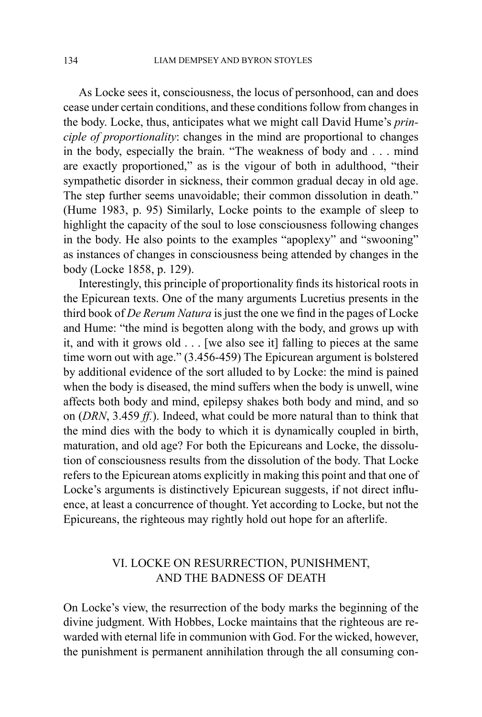As Locke sees it, consciousness, the locus of personhood, can and does cease under certain conditions, and these conditions follow from changes in the body. Locke, thus, anticipates what we might call David Hume's *principle of proportionality*: changes in the mind are proportional to changes in the body, especially the brain. "The weakness of body and . . . mind are exactly proportioned," as is the vigour of both in adulthood, "their sympathetic disorder in sickness, their common gradual decay in old age. The step further seems unavoidable; their common dissolution in death." (Hume 1983, p. 95) Similarly, Locke points to the example of sleep to highlight the capacity of the soul to lose consciousness following changes in the body. He also points to the examples "apoplexy" and "swooning" as instances of changes in consciousness being attended by changes in the body (Locke 1858, p. 129).

Interestingly, this principle of proportionality finds its historical roots in the Epicurean texts. One of the many arguments Lucretius presents in the third book of *De Rerum Natura* is just the one we find in the pages of Locke and Hume: "the mind is begotten along with the body, and grows up with it, and with it grows old . . . [we also see it] falling to pieces at the same time worn out with age." (3.456-459) The Epicurean argument is bolstered by additional evidence of the sort alluded to by Locke: the mind is pained when the body is diseased, the mind suffers when the body is unwell, wine affects both body and mind, epilepsy shakes both body and mind, and so on (*DRN*, 3.459 *ff.*). Indeed, what could be more natural than to think that the mind dies with the body to which it is dynamically coupled in birth, maturation, and old age? For both the Epicureans and Locke, the dissolution of consciousness results from the dissolution of the body. That Locke refers to the Epicurean atoms explicitly in making this point and that one of Locke's arguments is distinctively Epicurean suggests, if not direct influence, at least a concurrence of thought. Yet according to Locke, but not the Epicureans, the righteous may rightly hold out hope for an afterlife.

# VI. LOCKE ON RESURRECTION, PUNISHMENT, AND THE BADNESS OF DEATH

On Locke's view, the resurrection of the body marks the beginning of the divine judgment. With Hobbes, Locke maintains that the righteous are rewarded with eternal life in communion with God. For the wicked, however, the punishment is permanent annihilation through the all consuming con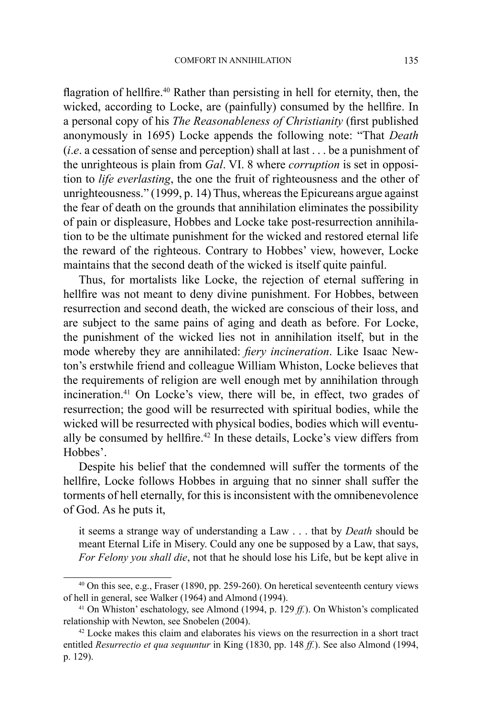flagration of hellfire.<sup>40</sup> Rather than persisting in hell for eternity, then, the wicked, according to Locke, are (painfully) consumed by the hellfire. In a personal copy of his *The Reasonableness of Christianity* (first published anonymously in 1695) Locke appends the following note: "That *Death* (*i*.*e*. a cessation of sense and perception) shall at last . . . be a punishment of the unrighteous is plain from *Gal*. VI. 8 where *corruption* is set in opposition to *life everlasting*, the one the fruit of righteousness and the other of unrighteousness." (1999, p. 14) Thus, whereas the Epicureans argue against the fear of death on the grounds that annihilation eliminates the possibility of pain or displeasure, Hobbes and Locke take post-resurrection annihilation to be the ultimate punishment for the wicked and restored eternal life the reward of the righteous. Contrary to Hobbes' view, however, Locke maintains that the second death of the wicked is itself quite painful.

Thus, for mortalists like Locke, the rejection of eternal suffering in hellfire was not meant to deny divine punishment. For Hobbes, between resurrection and second death, the wicked are conscious of their loss, and are subject to the same pains of aging and death as before. For Locke, the punishment of the wicked lies not in annihilation itself, but in the mode whereby they are annihilated: *fiery incineration*. Like Isaac Newton's erstwhile friend and colleague William Whiston, Locke believes that the requirements of religion are well enough met by annihilation through incineration.<sup>41</sup> On Locke's view, there will be, in effect, two grades of resurrection; the good will be resurrected with spiritual bodies, while the wicked will be resurrected with physical bodies, bodies which will eventually be consumed by hellfire.<sup>42</sup> In these details, Locke's view differs from Hobbes'.

Despite his belief that the condemned will suffer the torments of the hellfire, Locke follows Hobbes in arguing that no sinner shall suffer the torments of hell eternally, for this is inconsistent with the omnibenevolence of God. As he puts it,

it seems a strange way of understanding a Law . . . that by *Death* should be meant Eternal Life in Misery. Could any one be supposed by a Law, that says, *For Felony you shall die*, not that he should lose his Life, but be kept alive in

<sup>40</sup> On this see, e.g., Fraser (1890, pp. 259-260). On heretical seventeenth century views of hell in general, see Walker (1964) and Almond (1994). 41 On Whiston' eschatology, see Almond (1994, p. 129 *ff.*). On Whiston's complicated

relationship with Newton, see Snobelen (2004).

<sup>&</sup>lt;sup>42</sup> Locke makes this claim and elaborates his views on the resurrection in a short tract entitled *Resurrectio et qua sequuntur* in King (1830, pp. 148 *ff.*). See also Almond (1994, p. 129).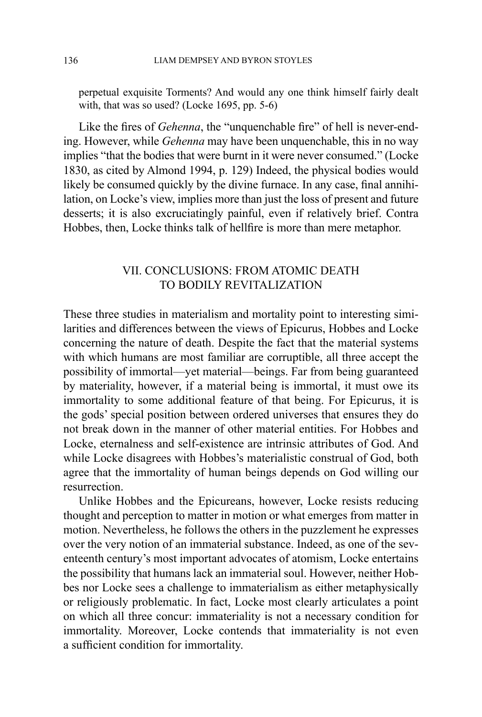perpetual exquisite Torments? And would any one think himself fairly dealt with, that was so used? (Locke 1695, pp. 5-6)

Like the fires of *Gehenna*, the "unquenchable fire" of hell is never-ending. However, while *Gehenna* may have been unquenchable, this in no way implies "that the bodies that were burnt in it were never consumed." (Locke 1830, as cited by Almond 1994, p. 129) Indeed, the physical bodies would likely be consumed quickly by the divine furnace. In any case, final annihilation, on Locke's view, implies more than just the loss of present and future desserts; it is also excruciatingly painful, even if relatively brief. Contra Hobbes, then, Locke thinks talk of hellfire is more than mere metaphor.

## VII. CONCLUSIONS: FROM ATOMIC DEATH TO BODILY REVITALIZATION

These three studies in materialism and mortality point to interesting similarities and differences between the views of Epicurus, Hobbes and Locke concerning the nature of death. Despite the fact that the material systems with which humans are most familiar are corruptible, all three accept the possibility of immortal—yet material—beings. Far from being guaranteed by materiality, however, if a material being is immortal, it must owe its immortality to some additional feature of that being. For Epicurus, it is the gods' special position between ordered universes that ensures they do not break down in the manner of other material entities. For Hobbes and Locke, eternalness and self-existence are intrinsic attributes of God. And while Locke disagrees with Hobbes's materialistic construal of God, both agree that the immortality of human beings depends on God willing our resurrection.

Unlike Hobbes and the Epicureans, however, Locke resists reducing thought and perception to matter in motion or what emerges from matter in motion. Nevertheless, he follows the others in the puzzlement he expresses over the very notion of an immaterial substance. Indeed, as one of the seventeenth century's most important advocates of atomism, Locke entertains the possibility that humans lack an immaterial soul. However, neither Hobbes nor Locke sees a challenge to immaterialism as either metaphysically or religiously problematic. In fact, Locke most clearly articulates a point on which all three concur: immateriality is not a necessary condition for immortality. Moreover, Locke contends that immateriality is not even a sufficient condition for immortality.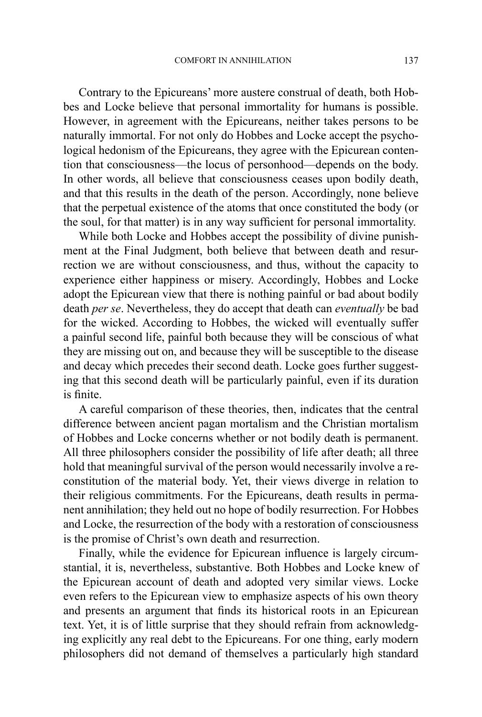Contrary to the Epicureans' more austere construal of death, both Hobbes and Locke believe that personal immortality for humans is possible. However, in agreement with the Epicureans, neither takes persons to be naturally immortal. For not only do Hobbes and Locke accept the psychological hedonism of the Epicureans, they agree with the Epicurean contention that consciousness—the locus of personhood—depends on the body. In other words, all believe that consciousness ceases upon bodily death, and that this results in the death of the person. Accordingly, none believe that the perpetual existence of the atoms that once constituted the body (or the soul, for that matter) is in any way sufficient for personal immortality.

While both Locke and Hobbes accept the possibility of divine punishment at the Final Judgment, both believe that between death and resurrection we are without consciousness, and thus, without the capacity to experience either happiness or misery. Accordingly, Hobbes and Locke adopt the Epicurean view that there is nothing painful or bad about bodily death *per se*. Nevertheless, they do accept that death can *eventually* be bad for the wicked. According to Hobbes, the wicked will eventually suffer a painful second life, painful both because they will be conscious of what they are missing out on, and because they will be susceptible to the disease and decay which precedes their second death. Locke goes further suggesting that this second death will be particularly painful, even if its duration is finite.

A careful comparison of these theories, then, indicates that the central difference between ancient pagan mortalism and the Christian mortalism of Hobbes and Locke concerns whether or not bodily death is permanent. All three philosophers consider the possibility of life after death; all three hold that meaningful survival of the person would necessarily involve a reconstitution of the material body. Yet, their views diverge in relation to their religious commitments. For the Epicureans, death results in permanent annihilation; they held out no hope of bodily resurrection. For Hobbes and Locke, the resurrection of the body with a restoration of consciousness is the promise of Christ's own death and resurrection.

Finally, while the evidence for Epicurean influence is largely circumstantial, it is, nevertheless, substantive. Both Hobbes and Locke knew of the Epicurean account of death and adopted very similar views. Locke even refers to the Epicurean view to emphasize aspects of his own theory and presents an argument that finds its historical roots in an Epicurean text. Yet, it is of little surprise that they should refrain from acknowledging explicitly any real debt to the Epicureans. For one thing, early modern philosophers did not demand of themselves a particularly high standard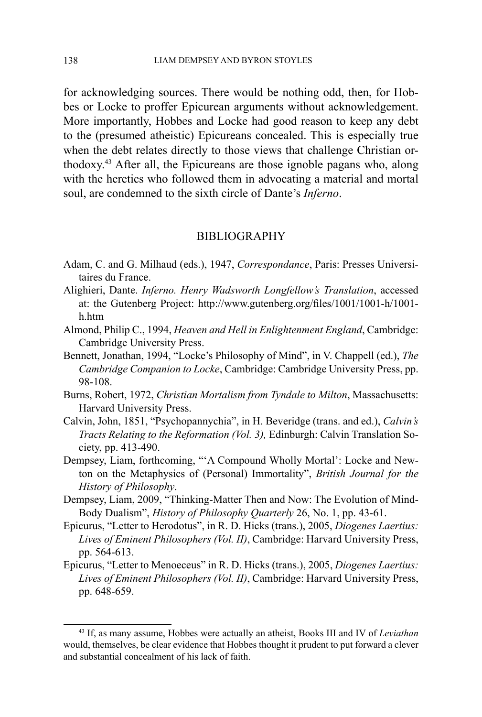for acknowledging sources. There would be nothing odd, then, for Hobbes or Locke to proffer Epicurean arguments without acknowledgement. More importantly, Hobbes and Locke had good reason to keep any debt to the (presumed atheistic) Epicureans concealed. This is especially true when the debt relates directly to those views that challenge Christian orthodoxy.<sup>43</sup> After all, the Epicureans are those ignoble pagans who, along with the heretics who followed them in advocating a material and mortal soul, are condemned to the sixth circle of Dante's *Inferno*.

#### BIBLIOGRAPHY

- Adam, C. and G. Milhaud (eds.), 1947, *Correspondance*, Paris: Presses Universitaires du France.
- Alighieri, Dante. *Inferno. Henry Wadsworth Longfellow's Translation*, accessed at: the Gutenberg Project: http://www.gutenberg.org/files/1001/1001-h/1001 h.htm
- Almond, Philip C., 1994, *Heaven and Hell in Enlightenment England*, Cambridge: Cambridge University Press.
- Bennett, Jonathan, 1994, "Locke's Philosophy of Mind", in V. Chappell (ed.), *The Cambridge Companion to Locke*, Cambridge: Cambridge University Press, pp. 98-108.
- Burns, Robert, 1972, *Christian Mortalism from Tyndale to Milton*, Massachusetts: Harvard University Press.
- Calvin, John, 1851, "Psychopannychia", in H. Beveridge (trans. and ed.), *Calvin's Tracts Relating to the Reformation (Vol. 3),* Edinburgh: Calvin Translation Society, pp. 413-490.
- Dempsey, Liam, forthcoming, "'A Compound Wholly Mortal': Locke and Newton on the Metaphysics of (Personal) Immortality", *British Journal for the History of Philosophy*.
- Dempsey, Liam, 2009, "Thinking-Matter Then and Now: The Evolution of Mind-Body Dualism", *History of Philosophy Quarterly* 26, No. 1, pp. 43-61.
- Epicurus, "Letter to Herodotus", in R. D. Hicks (trans.), 2005, *Diogenes Laertius: Lives of Eminent Philosophers (Vol. II)*, Cambridge: Harvard University Press, pp. 564-613.
- Epicurus, "Letter to Menoeceus" in R. D. Hicks (trans.), 2005, *Diogenes Laertius: Lives of Eminent Philosophers (Vol. II)*, Cambridge: Harvard University Press, pp. 648-659.

<sup>43</sup> If, as many assume, Hobbes were actually an atheist, Books III and IV of *Leviathan* would, themselves, be clear evidence that Hobbes thought it prudent to put forward a clever and substantial concealment of his lack of faith.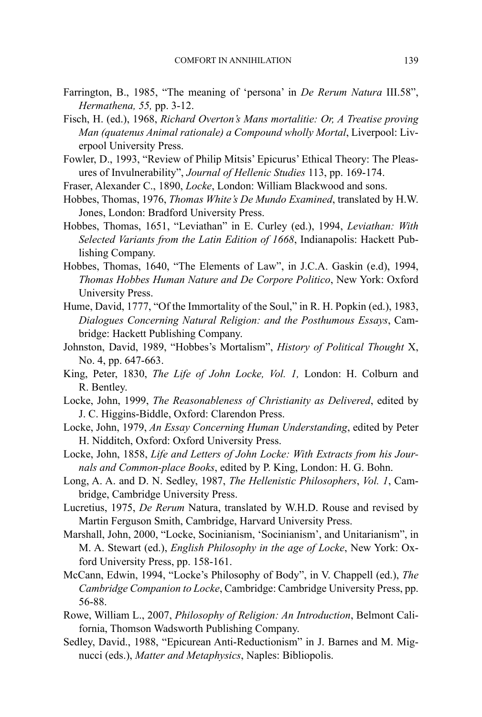- Farrington, B., 1985, "The meaning of 'persona' in *De Rerum Natura* III.58", *Hermathena, 55,* pp. 3-12.
- Fisch, H. (ed.), 1968, *Richard Overton's Mans mortalitie: Or, A Treatise proving Man (quatenus Animal rationale) a Compound wholly Mortal*, Liverpool: Liverpool University Press.
- Fowler, D., 1993, "Review of Philip Mitsis' Epicurus' Ethical Theory: The Pleasures of Invulnerability", *Journal of Hellenic Studies* 113, pp. 169-174.
- Fraser, Alexander C., 1890, *Locke*, London: William Blackwood and sons.
- Hobbes, Thomas, 1976, *Thomas White's De Mundo Examined*, translated by H.W. Jones, London: Bradford University Press.
- Hobbes, Thomas, 1651, "Leviathan" in E. Curley (ed.), 1994, *Leviathan: With Selected Variants from the Latin Edition of 1668*, Indianapolis: Hackett Publishing Company.
- Hobbes, Thomas, 1640, "The Elements of Law", in J.C.A. Gaskin (e.d), 1994, *Thomas Hobbes Human Nature and De Corpore Politico*, New York: Oxford University Press.
- Hume, David, 1777, "Of the Immortality of the Soul," in R. H. Popkin (ed.), 1983, *Dialogues Concerning Natural Religion: and the Posthumous Essays*, Cambridge: Hackett Publishing Company.
- Johnston, David, 1989, "Hobbes's Mortalism", *History of Political Thought* X, No. 4, pp. 647-663.
- King, Peter, 1830, *The Life of John Locke, Vol. 1,* London: H. Colburn and R. Bentley.
- Locke, John, 1999, *The Reasonableness of Christianity as Delivered*, edited by J. C. Higgins-Biddle, Oxford: Clarendon Press.
- Locke, John, 1979, *An Essay Concerning Human Understanding*, edited by Peter H. Nidditch, Oxford: Oxford University Press.
- Locke, John, 1858, *Life and Letters of John Locke: With Extracts from his Journals and Common-place Books*, edited by P. King, London: H. G. Bohn.
- Long, A. A. and D. N. Sedley, 1987, *The Hellenistic Philosophers*, *Vol. 1*, Cambridge, Cambridge University Press.
- Lucretius, 1975, *De Rerum* Natura, translated by W.H.D. Rouse and revised by Martin Ferguson Smith, Cambridge, Harvard University Press.
- Marshall, John, 2000, "Locke, Socinianism, 'Socinianism', and Unitarianism", in M. A. Stewart (ed.), *English Philosophy in the age of Locke*, New York: Oxford University Press, pp. 158-161.
- McCann, Edwin, 1994, "Locke's Philosophy of Body", in V. Chappell (ed.), *The Cambridge Companion to Locke*, Cambridge: Cambridge University Press, pp. 56-88.
- Rowe, William L., 2007, *Philosophy of Religion: An Introduction*, Belmont California, Thomson Wadsworth Publishing Company.
- Sedley, David., 1988, "Epicurean Anti-Reductionism" in J. Barnes and M. Mignucci (eds.), *Matter and Metaphysics*, Naples: Bibliopolis.